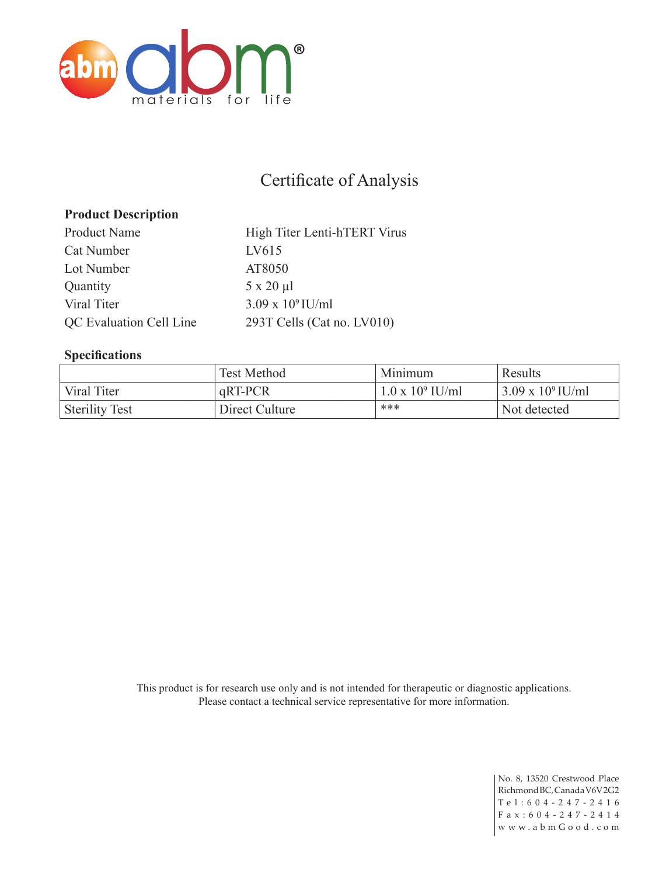

## Certificate of Analysis

### **Product Description**

Product Name High Titer Lenti-hTERT Virus Cat Number LV615 Lot Number AT8050 Quantity 5 x 20 µl Viral Titer  $3.09 \times 10^9$  IU/ml QC Evaluation Cell Line 293T Cells (Cat no. LV010)

#### **Specifications**

|                       | <b>Test Method</b> | Minimum                 | Results                    |
|-----------------------|--------------------|-------------------------|----------------------------|
| Viral Titer           | qRT-PCR            | $1.0 \times 10^9$ IU/ml | $3.09 \times 10^{9}$ IU/ml |
| <b>Sterility Test</b> | Direct Culture     | ***                     | Not detected               |

This product is for research use only and is not intended for therapeutic or diagnostic applications. Please contact a technical service representative for more information.

> No. 8, 13520 Crestwood Place Richmond BC, Canada V6V 2G2 Tel:604-247-2416 F a x : 6 0 4 - 2 4 7 - 2 4 1 4 w w w . a b m G o o d . c o m